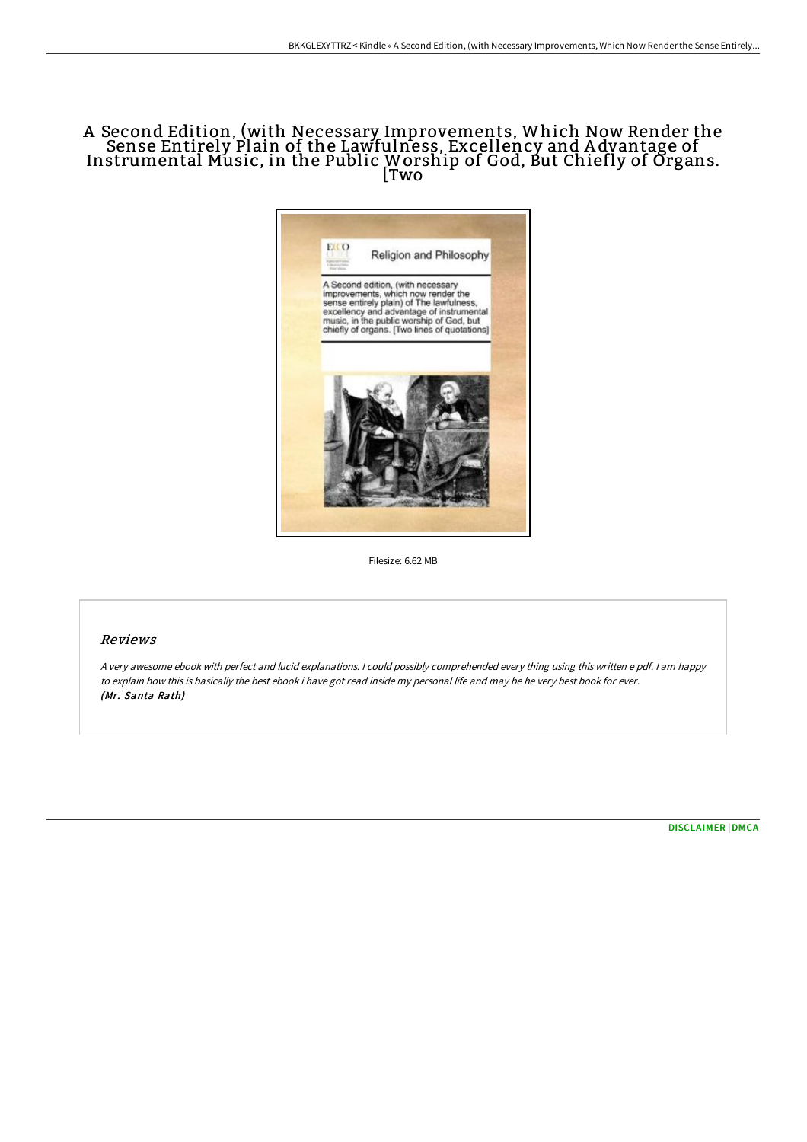# A Second Edition, (with Necessary Improvements, Which Now Render the Sense Entirely Plain of the Lawfulness, Excellency and A dvantage of Instrumental Music, in the Public Worship of God, But Chiefly of Organs. [Two



Filesize: 6.62 MB

# Reviews

<sup>A</sup> very awesome ebook with perfect and lucid explanations. <sup>I</sup> could possibly comprehended every thing using this written <sup>e</sup> pdf. <sup>I</sup> am happy to explain how this is basically the best ebook i have got read inside my personal life and may be he very best book for ever. (Mr. Santa Rath)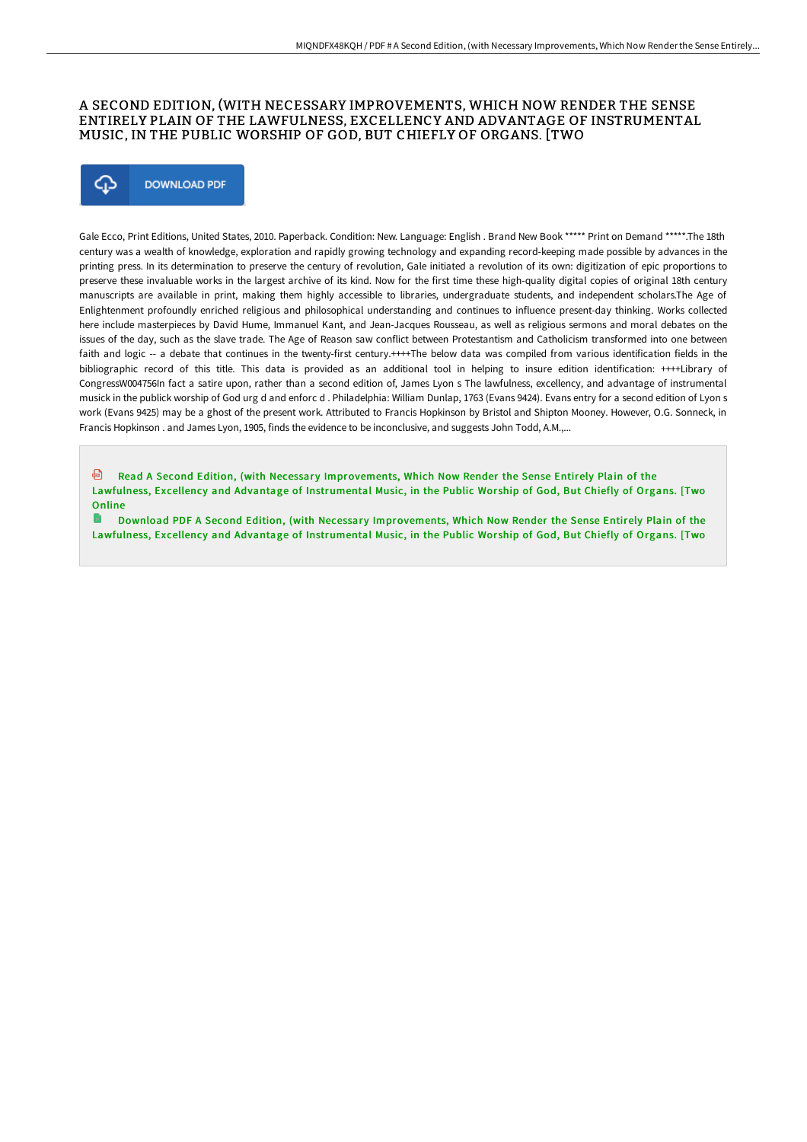## A SECOND EDITION, (WITH NECESSARY IMPROVEMENTS, WHICH NOW RENDER THE SENSE ENTIRELY PLAIN OF THE LAWFULNESS, EXCELLENCY AND ADVANTAGE OF INSTRUMENTAL MUSIC, IN THE PUBLIC WORSHIP OF GOD, BUT CHIEFLY OF ORGANS. [TWO



Gale Ecco, Print Editions, United States, 2010. Paperback. Condition: New. Language: English . Brand New Book \*\*\*\*\* Print on Demand \*\*\*\*\*.The 18th century was a wealth of knowledge, exploration and rapidly growing technology and expanding record-keeping made possible by advances in the printing press. In its determination to preserve the century of revolution, Gale initiated a revolution of its own: digitization of epic proportions to preserve these invaluable works in the largest archive of its kind. Now for the first time these high-quality digital copies of original 18th century manuscripts are available in print, making them highly accessible to libraries, undergraduate students, and independent scholars.The Age of Enlightenment profoundly enriched religious and philosophical understanding and continues to influence present-day thinking. Works collected here include masterpieces by David Hume, Immanuel Kant, and Jean-Jacques Rousseau, as well as religious sermons and moral debates on the issues of the day, such as the slave trade. The Age of Reason saw conflict between Protestantism and Catholicism transformed into one between faith and logic -- a debate that continues in the twenty-first century.++++The below data was compiled from various identification fields in the bibliographic record of this title. This data is provided as an additional tool in helping to insure edition identification: ++++Library of CongressW004756In fact a satire upon, rather than a second edition of, James Lyon s The lawfulness, excellency, and advantage of instrumental musick in the publick worship of God urg d and enforc d . Philadelphia: William Dunlap, 1763 (Evans 9424). Evans entry for a second edition of Lyon s work (Evans 9425) may be a ghost of the present work. Attributed to Francis Hopkinson by Bristol and Shipton Mooney. However, O.G. Sonneck, in Francis Hopkinson . and James Lyon, 1905, finds the evidence to be inconclusive, and suggests John Todd, A.M.,...

⊕ Read A Second Edition, (with Necessary [Improvements,](http://digilib.live/a-second-edition-with-necessary-improvements-whi.html) Which Now Render the Sense Entirely Plain of the Lawfulness, Excellency and Advantage of Instrumental Music, in the Public Wor ship of God, But Chiefly of Organs. [Two **Online** 

Download PDF A Second Edition, (with Necessary [Improvements,](http://digilib.live/a-second-edition-with-necessary-improvements-whi.html) Which Now Render the Sense Entirely Plain of the Lawfulness, Excellency and Advantage of Instrumental Music, in the Public Wor ship of God, But Chiefly of Organs. [Two